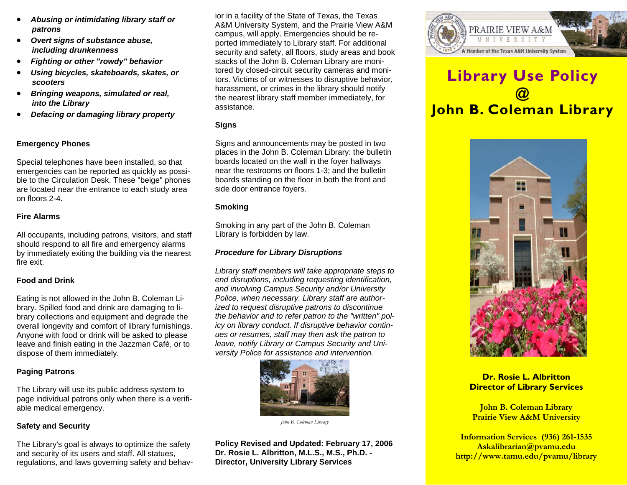- *Abusing or intimidating library staff or patrons*
- *Overt signs of substance abuse, including drunkenness*
- *Fighting or other "rowdy" behavior*
- *Using bicycles, skateboards, skates, or scooters*
- *Bringing weapons, simulated or real, into the Library*
- *Defacing or damaging library property*

# **Emergency Phones**

Special telephones have been installed, so that emergencies can be reported as quickly as possible to the Circulation Desk. These "beige" phones are located near the entrance to each study area on floors 2-4.

#### **Fire Alarms**

All occupants, including patrons, visitors, and staff should respond to all fire and emergency alarms by immediately exiting the building via the nearest fire exit.

## **Food and Drink**

Eating is not allowed in the John B. Coleman Library. Spilled food and drink are damaging to library collections and equipment and degrade the overall longevity and comfort of library furnishings. Anyone with food or drink will be asked to please leave and finish eating in the Jazzman Café, or to dispose of them immediately.

## **Paging Patrons**

The Library will use its public address system to page individual patrons only when there is a verifiable medical emergency.

## **Safety and Security**

The Library's goal is always to optimize the safety and security of its users and staff. All statues, regulations, and laws governing safety and behavior in a facility of the State of Texas, the Texas A&M University System, and the Prairie View A&M campus, will apply. Emergencies should be re ported immediately to Library staff. For additional security and safety, all floors, study areas and book stacks of the John B. Coleman Library are moni tored by closed-circuit security cameras and monitors. Victims of or witnesses to disruptive behavior. harassment, or crimes in the library should notify<br>the nearest library staff member immediately, for<br>assistance.

## **Signs**

Signs and announcements may be posted in two<br>places in the John B. Coleman Library: the bulletin<br>boards located on the wall in the foyer hallways<br>near the restrooms on floors 1-3; and the bulletin<br>boards standing on the fl

## **Smoking**

Smoking in any part of the John B. Coleman Library is forbidden by law.

## *Procedure for Library Disruptions*

*Library staff members will take appropriate steps to end disruptions, including requesting identification, and involving Campus Security and/or University Police, when necessary. Library staff are author the behavior and to refer patron to the "written" policy on library conduct. If disruptive behavior contin ues or resumes, staff may then ask the patron to leave, notify Library or Campus Security and Uni versity Police for assistance and intervention.*



*John B. Coleman Library*<br>Policy Revised and Updated: February 17, 2006<br>Dr. Rosie L. Albritton, M.L.S., M.S., Ph.D. -<br>Director, University Library Services



# **Library Use Policy @ John B. Coleman Library**



# **Dr. Rosie L. Albritton Director of Library Services**

**John B. Coleman Library Prairie View A&M University** 

**Information Services (936) 261-1535 Askalibrarian@pvamu.edu http://www.tamu.edu/pvamu/library**